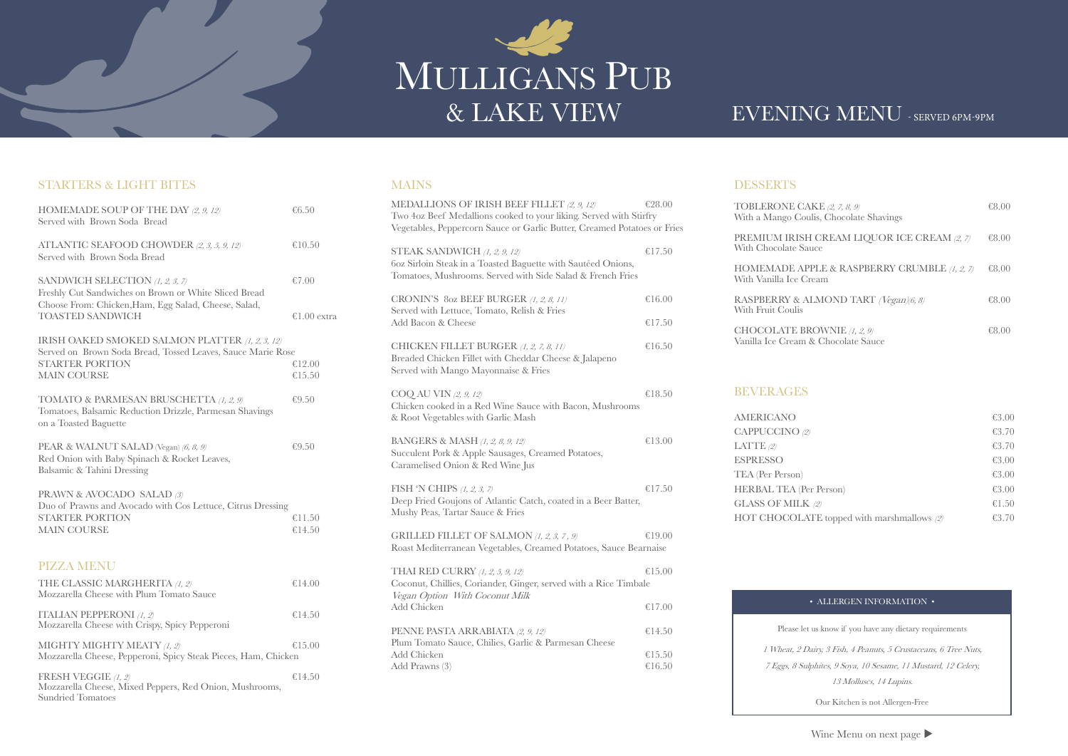# MULLIGANS PUB

## EVENING MENU - SERVED 6PM-9PM

#### STARTERS & LIGHT BITES

| HOMEMADE SOUP OF THE DAY $(2, 9, 12)$<br>Served with Brown Soda Bread                                                                              | € $6.50$         |
|----------------------------------------------------------------------------------------------------------------------------------------------------|------------------|
| ATLANTIC SEAFOOD CHOWDER (2, 3, 5, 9, 12)<br>Served with Brown Soda Bread                                                                          | €10.50           |
| SANDWICH SELECTION $(1, 2, 3, 7)$<br>Freshly Cut Sandwiches on Brown or White Sliced Bread<br>Choose From: Chicken, Ham, Egg Salad, Cheese, Salad, | €7.00            |
| <b>TOASTED SANDWICH</b>                                                                                                                            | €1.00 extra      |
| IRISH OAKED SMOKED SALMON PLATTER (1, 2, 3, 12)<br>Served on Brown Soda Bread, Tossed Leaves, Sauce Marie Rose<br><b>STARTER PORTION</b>           | €12.00           |
| <b>MAIN COURSE</b>                                                                                                                                 | €15.50           |
| TOMATO & PARMESAN BRUSCHETTA (1, 2, 9)<br>Tomatoes, Balsamic Reduction Drizzle, Parmesan Shavings<br>on a Toasted Baguette                         | € $9.50$         |
| PEAR & WALNUT SALAD (Vegan) (6, 8, 9)<br>Red Onion with Baby Spinach & Rocket Leaves,<br>Balsamic & Tahini Dressing                                | €9.50            |
| PRAWN & AVOCADO SALAD (3)<br>Duo of Prawns and Avocado with Cos Lettuce, Citrus Dressing<br><b>STARTER PORTION</b><br><b>MAIN COURSE</b>           | €11.50<br>€14.50 |
| <b>PIZZA MENU</b>                                                                                                                                  |                  |
| THE CLASSIC MARGHERITA (1, 2)<br>Mozzarella Cheese with Plum Tomato Sauce                                                                          | €14.00           |
| <b>ITALIAN PEPPERONI</b> (1, 2)<br>Mozzarella Cheese with Crispy, Spicy Pepperoni                                                                  | €14.50           |
| MIGHTY MIGHTY MEATY (1, 2)<br>Mozzarella Cheese, Pepperoni, Spicy Steak Pieces, Ham, Chicken                                                       | €15.00           |
| FRESH VEGGIE (1, 2)<br>Mozzarella Cheese, Mixed Peppers, Red Onion, Mushrooms,<br><b>Sundried Tomatoes</b>                                         | €14.50           |

### MAINS

RASPBERRY & A With Fruit Coulis

CHOCOLATE BF Vanilla Ice Cream

| MEDALLIONS OF IRISH BEEF FILLET (2, 9, 12)                                                                                                                   | €28.00 |  |  |
|--------------------------------------------------------------------------------------------------------------------------------------------------------------|--------|--|--|
| Two 4oz Beef Medallions cooked to your liking. Served with Stirfry<br>Vegetables, Peppercorn Sauce or Garlic Butter, Creamed Potatoes or Fries               |        |  |  |
| STEAK SANDWICH $(1, 2, 9, 12)$<br>60z Sirloin Steak in a Toasted Baguette with Sautéed Onions,<br>Tomatoes, Mushrooms. Served with Side Salad & French Fries | €17.50 |  |  |
| CRONIN'S 80z BEEF BURGER (1, 2, 8, 11)<br>Served with Lettuce, Tomato, Relish & Fries                                                                        | €16.00 |  |  |
| Add Bacon & Cheese                                                                                                                                           | €17.50 |  |  |
| CHICKEN FILLET BURGER (1, 2, 7, 8, 11)<br>Breaded Chicken Fillet with Cheddar Cheese & Jalapeno<br>Served with Mango Mayonnaise & Fries                      | €16.50 |  |  |
| COQ AU VIN (2, 9, 12)<br>Chicken cooked in a Red Wine Sauce with Bacon, Mushrooms<br>& Root Vegetables with Garlic Mash                                      | €18.50 |  |  |
| <b>BANGERS &amp; MASH</b> (1, 2, 8, 9, 12)<br>Succulent Pork & Apple Sausages, Creamed Potatoes,<br>Caramelised Onion & Red Wine Jus                         | €13.00 |  |  |
| FISH 'N CHIPS $(1, 2, 3, 7)$<br>Deep Fried Goujons of Atlantic Catch, coated in a Beer Batter,<br>Mushy Peas, Tartar Sauce & Fries                           | €17.50 |  |  |
| GRILLED FILLET OF SALMON $(1, 2, 3, 7, 9)$<br>Roast Mediterranean Vegetables, Creamed Potatoes, Sauce Bearnaise                                              | €19.00 |  |  |
| THAI RED CURRY (1, 2, 5, 9, 12)<br>Coconut, Chillies, Coriander, Ginger, served with a Rice Timbale<br>Vegan Option With Coconut Milk                        | €15.00 |  |  |
| <b>Add Chicken</b>                                                                                                                                           | €17.00 |  |  |
| PENNE PASTA ARRABIATA (2, 9, 12)<br>Plum Tomato Sauce, Chilies, Garlic & Parmesan Cheese                                                                     | €14.50 |  |  |
| Add Chicken                                                                                                                                                  | €15.50 |  |  |
| Add Prawns (3)                                                                                                                                               | €16.50 |  |  |

#### **DESSERTS**

TOBLERONE CA With a Mango Cou

PREMIUM IRISH With Chocolate Sa

HOMEMADE AP With Vanilla Ice C

#### BEVERAGES

AMERICANO  $CAPPUCCINO$  (2) LATTE  $(2)$ **ESPRESSO** TEA (Per Person) HERBAL TEA (Pe **GLASS OF MILK** HOT CHOCOLA

| XKE (2, 7, 8, 9)<br>ulis, Chocolate Shavings | €8.00 |
|----------------------------------------------|-------|
| H CREAM LIQUOR ICE CREAM (2, 7)<br>uce       | €8.00 |
| PPLE & RASPBERRY CRUMBLE (1, 2, 7)<br>ream   | €8.00 |
| LMOND TART <i>(Vegan)</i> 6, 8)              | €8.00 |
| <b>ROWNIE</b> (1, 2, 9)<br>& Chocolate Sauce | €8.00 |

|                                   | € $3.00$ |
|-----------------------------------|----------|
|                                   | €3.70    |
|                                   | €3.70    |
|                                   | € $3.00$ |
|                                   | € $3.00$ |
| er Person)                        | €3.00    |
| $\cdot$ (2)                       | €1.50    |
| TE topped with marshmallows $(2)$ | €3.70    |
|                                   |          |

#### • ALLERGEN INFORMATION •

Please let us know if you have any dietary requirements

1 Wheat, 2 Dairy, 3 Fish, 4 Peanuts, 5 Crustaceans, 6 Tree Nuts, 7 Eggs, 8 Sulphites, 9 Soya, 10 Sesame, 11 Mustard, 12 Celery, 13 Molluscs, 14 Lupins.

Our Kitchen is not Allergen-Free

Wine Menu on next page